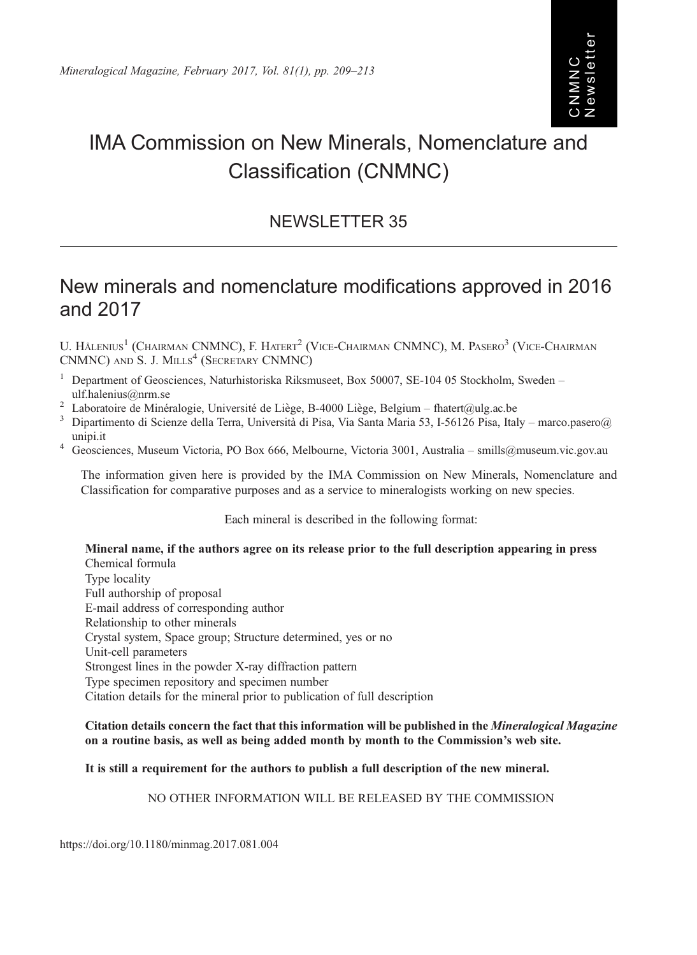# IMA Commission on New Minerals, Nomenclature and Classification (CNMNC)

# NEWSLETTER 35

# New minerals and nomenclature modifications approved in 2016 and 2017

U. HALENIUS<sup>1</sup> (CHAIRMAN CNMNC), F. HATERT<sup>2</sup> (VICE-CHAIRMAN CNMNC), M. PASERO<sup>3</sup> (VICE-CHAIRMAN CNMNC) AND S. J. MILLS<sup>4</sup> (SECRETARY CNMNC)

- Department of Geosciences, Naturhistoriska Riksmuseet, Box 50007, SE-104 05 Stockholm, Sweden ulf.halenius@nrm.se
- 
- <sup>2</sup> Laboratoire de Minéralogie, Université de Liège, B-4000 Liège, Belgium [fhatert@ulg.ac.be](mailto:fhatert@ulg.ac.be)<br><sup>3</sup> Dipartimento di Scienze della Terra, Università di Pisa, Via Santa Maria 53, I-56126 Pisa, Italy [marco.pasero@](mailto:marco.pasero@unipi.it)
- [unipi.it](mailto:marco.pasero@unipi.it) <sup>4</sup> Geosciences, Museum Victoria, PO Box 666, Melbourne, Victoria 3001, Australia [smills@museum.vic.gov.au](mailto:smills@museum.vic.gov.au)

The information given here is provided by the IMA Commission on New Minerals, Nomenclature and Classification for comparative purposes and as a service to mineralogists working on new species.

Each mineral is described in the following format:

Mineral name, if the authors agree on its release prior to the full description appearing in press Chemical formula Type locality Full authorship of proposal E-mail address of corresponding author Relationship to other minerals Crystal system, Space group; Structure determined, yes or no Unit-cell parameters Strongest lines in the powder X-ray diffraction pattern Type specimen repository and specimen number Citation details for the mineral prior to publication of full description

#### Citation details concern the fact that this information will be published in the Mineralogical Magazine on a routine basis, as well as being added month by month to the Commission's web site.

# It is still a requirement for the authors to publish a full description of the new mineral.

## NO OTHER INFORMATION WILL BE RELEASED BY THE COMMISSION

https://doi.org/10.1180/minmag.2017.081.004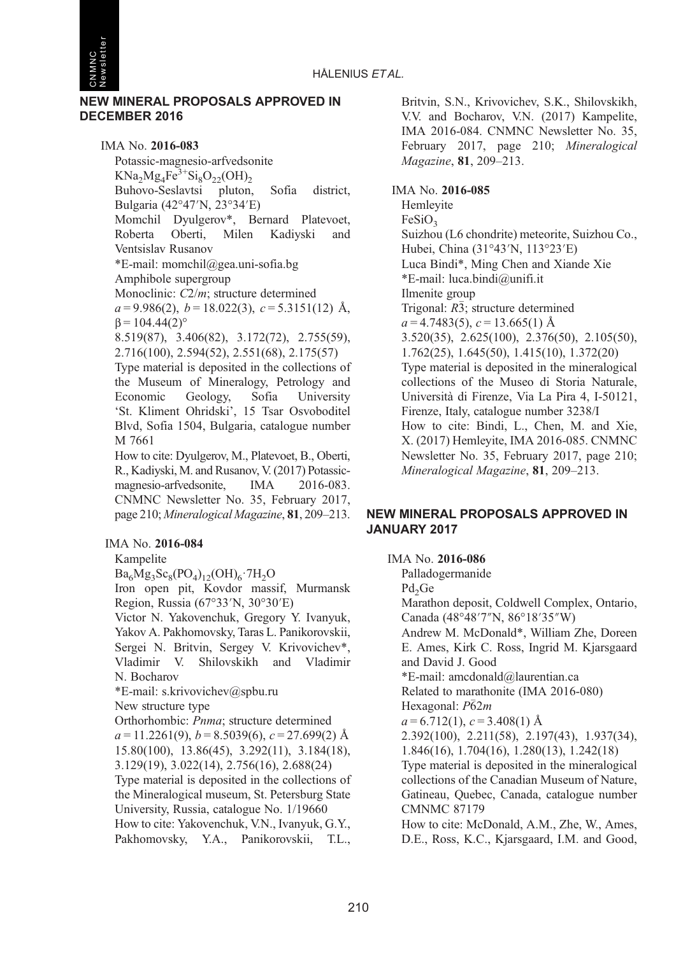

#### NEW MINERAL PROPOSALS APPROVED IN DECEMBER 2016

IMA No. 2016-083 Potassic-magnesio-arfvedsonite  $KNa_2Mg_4Fe^{3+}Si_8O_{22}(OH)_{2}$ Buhovo-Seslavtsi pluton, Sofia district, Bulgaria (42°47′N, 23°34′E) Momchil Dyulgerov\*, Bernard Platevoet, Roberta Oberti, Milen Kadiyski and Ventsislav Rusanov \*E-mail: [momchil@gea.uni-sofia.bg](mailto:momchil@gea.uni-sofia.bg) Amphibole supergroup Monoclinic: C2/m; structure determined  $a = 9.986(2), b = 18.022(3), c = 5.3151(12)$  Å,  $β = 104.44(2)°$ 8.519(87), 3.406(82), 3.172(72), 2.755(59), 2.716(100), 2.594(52), 2.551(68), 2.175(57) Type material is deposited in the collections of the Museum of Mineralogy, Petrology and Economic Geology, Sofia University 'St. Kliment Ohridski', 15 Tsar Osvoboditel Blvd, Sofia 1504, Bulgaria, catalogue number M 7661 How to cite: Dyulgerov, M., Platevoet, B., Oberti, R., Kadiyski, M. and Rusanov, V. (2017) Potassicmagnesio-arfvedsonite, IMA 2016-083. CNMNC Newsletter No. 35, February 2017, page 210; Mineralogical Magazine, <sup>81</sup>, 209–213.

# IMA No. 2016-084

Kampelite

 $Ba<sub>6</sub>Mg<sub>3</sub>Sc<sub>8</sub>(PO<sub>4</sub>)<sub>12</sub>(OH)<sub>6</sub>·7H<sub>2</sub>O$ 

Iron open pit, Kovdor massif, Murmansk Region, Russia (67°33′N, 30°30′E)

Victor N. Yakovenchuk, Gregory Y. Ivanyuk, Yakov A. Pakhomovsky, Taras L. Panikorovskii, Sergei N. Britvin, Sergey V. Krivovichev\*, Vladimir V. Shilovskikh and Vladimir N. Bocharov

\*E-mail: [s.krivovichev@spbu.ru](mailto:s.krivovichev@spbu.ru)

New structure type

Orthorhombic: Pnma; structure determined

 $a = 11.2261(9)$ ,  $b = 8.5039(6)$ ,  $c = 27.699(2)$  Å 15.80(100), 13.86(45), 3.292(11), 3.184(18), 3.129(19), 3.022(14), 2.756(16), 2.688(24)

Type material is deposited in the collections of the Mineralogical museum, St. Petersburg State University, Russia, catalogue No. 1/19660 How to cite: Yakovenchuk, V.N., Ivanyuk, G.Y., Pakhomovsky, Y.A., Panikorovskii, T.L.,

Britvin, S.N., Krivovichev, S.K., Shilovskikh, V.V. and Bocharov, V.N. (2017) Kampelite, IMA 2016-084. CNMNC Newsletter No. 35, February 2017, page 210; Mineralogical Magazine, <sup>81</sup>, 209–213.

#### IMA No. 2016-085

Hemleyite  $FeSiO<sub>2</sub>$ Suizhou (L6 chondrite) meteorite, Suizhou Co., Hubei, China (31°43′N, 113°23′E) Luca Bindi\*, Ming Chen and Xiande Xie \*E-mail: [luca.bindi@unifi.it](mailto:luca.bindi@unifi.it) Ilmenite group Trigonal: R3; structure determined  $a = 4.7483(5), c = 13.665(1)$  Å 3.520(35), 2.625(100), 2.376(50), 2.105(50), 1.762(25), 1.645(50), 1.415(10), 1.372(20) Type material is deposited in the mineralogical collections of the Museo di Storia Naturale, Università di Firenze, Via La Pira 4, I-50121, Firenze, Italy, catalogue number 3238/I How to cite: Bindi, L., Chen, M. and Xie, X. (2017) Hemleyite, IMA 2016-085. CNMNC Newsletter No. 35, February 2017, page 210; Mineralogical Magazine, <sup>81</sup>, 209–213.

# NEW MINERAL PROPOSALS APPROVED IN JANUARY 2017

IMA No. 2016-086

Palladogermanide

Pd<sub>2</sub>Ge

Marathon deposit, Coldwell Complex, Ontario, Canada (48°48′7″N, 86°18′35″W) Andrew M. McDonald\*, William Zhe, Doreen E. Ames, Kirk C. Ross, Ingrid M. Kjarsgaard and David J. Good \*E-mail: [amcdonald@laurentian.ca](mailto:amcdonald@laurentian.ca) Related to marathonite (IMA 2016-080)

Hexagonal:  $P\bar{6}2m$ 

 $a = 6.712(1), c = 3.408(1)$  Å

2.392(100), 2.211(58), 2.197(43), 1.937(34),

1.846(16), 1.704(16), 1.280(13), 1.242(18)

Type material is deposited in the mineralogical collections of the Canadian Museum of Nature, Gatineau, Quebec, Canada, catalogue number CMNMC 87179

How to cite: McDonald, A.M., Zhe, W., Ames, D.E., Ross, K.C., Kjarsgaard, I.M. and Good,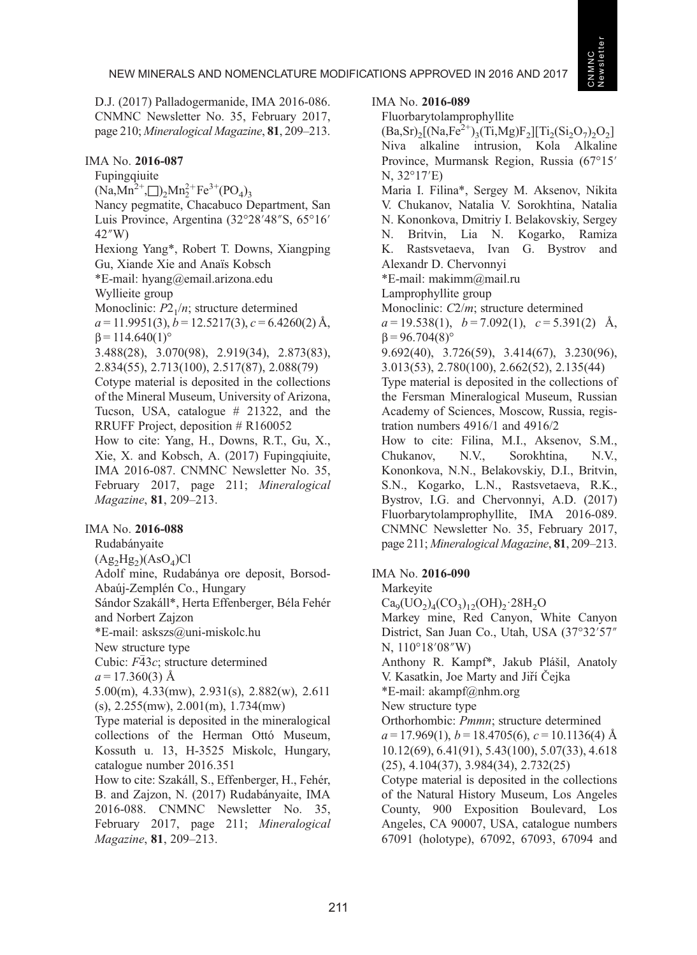D.J. (2017) Palladogermanide, IMA 2016-086. CNMNC Newsletter No. 35, February 2017, page 210; Mineralogical Magazine, <sup>81</sup>, 209–213.

#### IMA No. 2016-087

Fupingqiuite  $(Na, Mn^{2+}, \Box)_{2}Mn_{2}^{2+}Fe^{3+}(PO_{4})_{3}$ Nancy pegmatite, Chacabuco Department, San Luis Province, Argentina (32°28′48″S, 65°16′ 42″W) Hexiong Yang\*, Robert T. Downs, Xiangping Gu, Xiande Xie and Anaïs Kobsch \*E-mail: [hyang@email.arizona.edu](mailto:hyang@email.arizona.edu) Wyllieite group Monoclinic:  $P2<sub>1</sub>/n$ ; structure determined  $a = 11.9951(3), b = 12.5217(3), c = 6.4260(2)$  Å,  $β = 114.640(1)°$ 3.488(28), 3.070(98), 2.919(34), 2.873(83), 2.834(55), 2.713(100), 2.517(87), 2.088(79) Cotype material is deposited in the collections of the Mineral Museum, University of Arizona, Tucson, USA, catalogue # 21322, and the RRUFF Project, deposition # R160052 How to cite: Yang, H., Downs, R.T., Gu, X., Xie, X. and Kobsch, A. (2017) Fupingqiuite, IMA 2016-087. CNMNC Newsletter No. 35, February 2017, page 211; Mineralogical Magazine, <sup>81</sup>, 209–213.

# IMA No. 2016-088

Rudabányaite

 $(Ag_2Hg_2)(AsO_4)Cl$ 

Adolf mine, Rudabánya ore deposit, Borsod-Abaúj-Zemplén Co., Hungary

Sándor Szakáll\*, Herta Effenberger, Béla Fehér and Norbert Zajzon

\*E-mail: [askszs@uni-miskolc.hu](mailto:askszs@uni-miskolc.hu)

New structure type

Cubic: F43c; structure determined

 $a = 17.360(3)$  Å

5.00(m), 4.33(mw), 2.931(s), 2.882(w), 2.611 (s), 2.255(mw), 2.001(m), 1.734(mw)

Type material is deposited in the mineralogical collections of the Herman Ottó Museum, Kossuth u. 13, H-3525 Miskolc, Hungary, catalogue number 2016.351

How to cite: Szakáll, S., Effenberger, H., Fehér, B. and Zajzon, N. (2017) Rudabányaite, IMA 2016-088. CNMNC Newsletter No. 35, February 2017, page 211; Mineralogical Magazine, <sup>81</sup>, 209–213.

#### IMA No. 2016-089

## Fluorbarytolamprophyllite

 $(Ba, Sr)_{2}[(Na, Fe^{2+})_{3}(Ti, Mg)F_{2}][Ti_{2}(Si, O_{7})_{2}O_{2}]$ Niva alkaline intrusion, Kola Alkaline Province, Murmansk Region, Russia (67°15′ N, 32°17′E) Maria I. Filina\*, Sergey M. Aksenov, Nikita V. Chukanov, Natalia V. Sorokhtina, Natalia N. Kononkova, Dmitriy I. Belakovskiy, Sergey N. Britvin, Lia N. Kogarko, Ramiza K. Rastsvetaeva, Ivan G. Bystrov and Alexandr D. Chervonnyi \*E-mail: [makimm@mail.ru](mailto:makimm@mail.ru) Lamprophyllite group Monoclinic:  $C2/m$ ; structure determined  $a = 19.538(1), b = 7.092(1), c = 5.391(2)$  Å,  $β = 96.704(8)°$ 9.692(40), 3.726(59), 3.414(67), 3.230(96), 3.013(53), 2.780(100), 2.662(52), 2.135(44) Type material is deposited in the collections of the Fersman Mineralogical Museum, Russian Academy of Sciences, Moscow, Russia, registration numbers 4916/1 and 4916/2 How to cite: Filina, M.I., Aksenov, S.M., Chukanov, N.V., Sorokhtina, N.V., Kononkova, N.N., Belakovskiy, D.I., Britvin, S.N., Kogarko, L.N., Rastsvetaeva, R.K., Bystrov, I.G. and Chervonnyi, A.D. (2017) Fluorbarytolamprophyllite, IMA 2016-089. CNMNC Newsletter No. 35, February 2017, page 211; Mineralogical Magazine, <sup>81</sup>, 209–213. IMA No. 2016-090 Markeyite  $Ca_9(UO_2)_4(CO_3)_{12}(OH)_{2} \cdot 28H_2O$ Markey mine, Red Canyon, White Canyon District, San Juan Co., Utah, USA (37°32′57″ N, 110°18′08″W) Anthony R. Kampf\*, Jakub Plášil, Anatoly V. Kasatkin, Joe Marty and Jirí̌ Čejka \*E-mail: [akampf@nhm.org](mailto:akampf@nhm.org)

New structure type

Orthorhombic: Pmmn; structure determined  $a = 17.969(1)$ ,  $b = 18.4705(6)$ ,  $c = 10.1136(4)$  Å 10.12(69), 6.41(91), 5.43(100), 5.07(33), 4.618 (25), 4.104(37), 3.984(34), 2.732(25)

Cotype material is deposited in the collections of the Natural History Museum, Los Angeles County, 900 Exposition Boulevard, Los Angeles, CA 90007, USA, catalogue numbers 67091 (holotype), 67092, 67093, 67094 and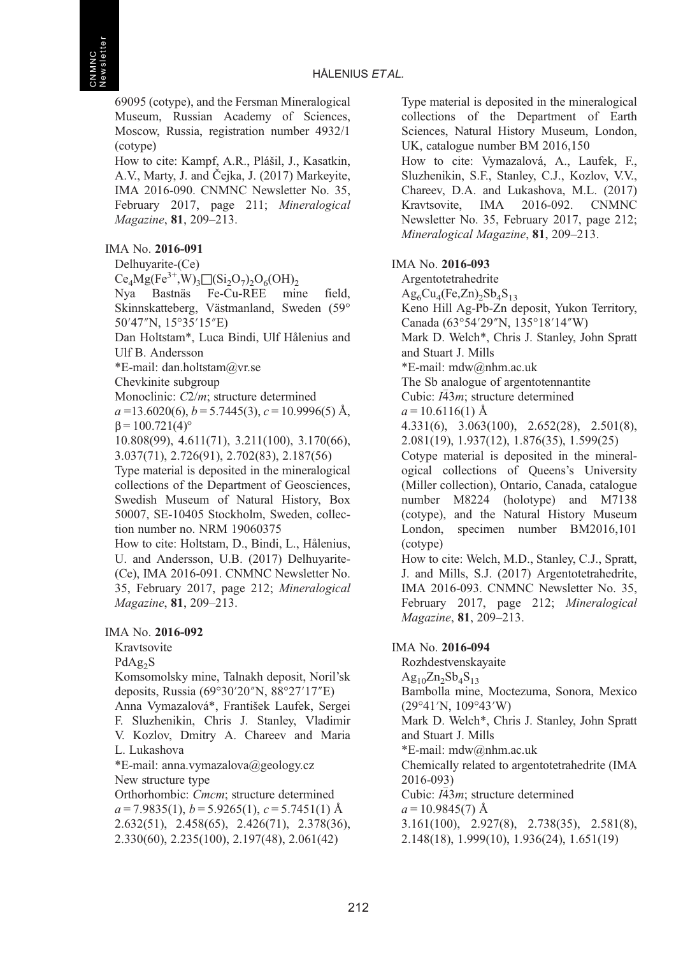69095 (cotype), and the Fersman Mineralogical Museum, Russian Academy of Sciences, Moscow, Russia, registration number 4932/1 (cotype)

How to cite: Kampf, A.R., Plášil, J., Kasatkin, A.V., Marty, J. and Čejka, J. (2017) Markeyite, IMA 2016-090. CNMNC Newsletter No. 35, February 2017, page 211; Mineralogical Magazine, <sup>81</sup>, 209–213.

# IMA No. 2016-091

Delhuyarite-(Ce)

 $Ce_4Mg(Fe^{3+},W)_3\Box(Si_2O_7)_2O_6(OH)_2$ 

Nya Bastnäs Fe-Cu-REE mine field, Skinnskatteberg, Västmanland, Sweden (59° 50′47″N, 15°35′15″E)

Dan Holtstam\*, Luca Bindi, Ulf Hålenius and Ulf B. Andersson

\*E-mail: [dan.holtstam@vr.se](mailto:dan.holtstam@vr.se)

Chevkinite subgroup

Monoclinic:  $C2/m$ ; structure determined

 $a = 13.6020(6)$ ,  $b = 5.7445(3)$ ,  $c = 10.9996(5)$  Å,  $β = 100.721(4)°$ 

10.808(99), 4.611(71), 3.211(100), 3.170(66), 3.037(71), 2.726(91), 2.702(83), 2.187(56)

Type material is deposited in the mineralogical collections of the Department of Geosciences, Swedish Museum of Natural History, Box 50007, SE-10405 Stockholm, Sweden, collection number no. NRM 19060375

How to cite: Holtstam, D., Bindi, L., Hålenius, U. and Andersson, U.B. (2017) Delhuyarite- (Ce), IMA 2016-091. CNMNC Newsletter No. 35, February 2017, page 212; Mineralogical Magazine, <sup>81</sup>, 209–213.

# IMA No. 2016-092

Kravtsovite

PdAg<sub>2</sub>S

Komsomolsky mine, Talnakh deposit, Noril'sk deposits, Russia (69°30′20″N, 88°27′17″E) Anna Vymazalová\*, František Laufek, Sergei

F. Sluzhenikin, Chris J. Stanley, Vladimir V. Kozlov, Dmitry A. Chareev and Maria L. Lukashova

\*E-mail: [anna.vymazalova@geology.cz](mailto:anna.vymazalova@geology.cz)

New structure type

Orthorhombic: Cmcm; structure determined  $a = 7.9835(1), b = 5.9265(1), c = 5.7451(1)$  Å 2.632(51), 2.458(65), 2.426(71), 2.378(36), 2.330(60), 2.235(100), 2.197(48), 2.061(42)

Type material is deposited in the mineralogical collections of the Department of Earth Sciences, Natural History Museum, London, UK, catalogue number BM 2016,150

How to cite: Vymazalová, A., Laufek, F., Sluzhenikin, S.F., Stanley, C.J., Kozlov, V.V., Chareev, D.A. and Lukashova, M.L. (2017) Kravtsovite, IMA 2016-092. CNMNC Newsletter No. 35, February 2017, page 212; Mineralogical Magazine, <sup>81</sup>, 209–213.

# IMA No. 2016-093

Argentotetrahedrite  $Ag<sub>6</sub>Cu<sub>4</sub>(Fe,Zn)<sub>2</sub>Sb<sub>4</sub>S<sub>13</sub>$ Keno Hill Ag-Pb-Zn deposit, Yukon Territory, Canada (63°54′29″N, 135°18′14″W) Mark D. Welch\*, Chris J. Stanley, John Spratt and Stuart J. Mills \*E-mail: [mdw@nhm.ac.uk](mailto:mdw@nhm.ac.uk) The Sb analogue of argentotennantite Cubic:  $I\bar{4}3m$ ; structure determined  $a = 10.6116(1)$  Å 4.331(6), 3.063(100), 2.652(28), 2.501(8), 2.081(19), 1.937(12), 1.876(35), 1.599(25) Cotype material is deposited in the mineralogical collections of Queens's University (Miller collection), Ontario, Canada, catalogue number M8224 (holotype) and M7138 (cotype), and the Natural History Museum London, specimen number BM2016,101 (cotype) How to cite: Welch, M.D., Stanley, C.J., Spratt, J. and Mills, S.J. (2017) Argentotetrahedrite, IMA 2016-093. CNMNC Newsletter No. 35, February 2017, page 212; Mineralogical Magazine, <sup>81</sup>, 209–213. IMA No. 2016-094

Rozhdestvenskayaite  $Ag_{10}Zn_2Sb_4S_{13}$ Bambolla mine, Moctezuma, Sonora, Mexico (29°41′N, 109°43′W) Mark D. Welch\*, Chris J. Stanley, John Spratt and Stuart J. Mills \*E-mail: [mdw@nhm.ac.uk](mailto:mdw@nhm.ac.uk) Chemically related to argentotetrahedrite (IMA 2016-093) Cubic:  $I\bar{4}3m$ ; structure determined  $a = 10.9845(7)$  Å 3.161(100), 2.927(8), 2.738(35), 2.581(8), 2.148(18), 1.999(10), 1.936(24), 1.651(19)